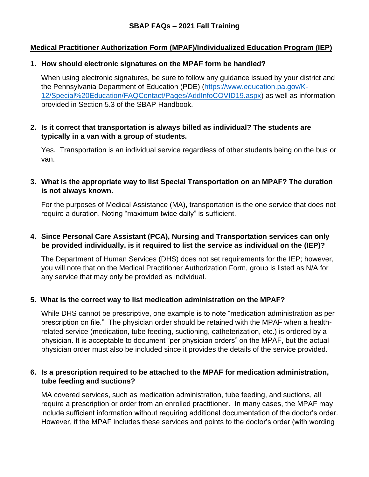# **Medical Practitioner Authorization Form (MPAF)/Individualized Education Program (IEP)**

### **1. How should electronic signatures on the MPAF form be handled?**

When using electronic signatures, be sure to follow any guidance issued by your district and the Pennsylvania Department of Education (PDE) [\(https://www.education.pa.gov/K-](https://www.education.pa.gov/K-12/Special%20Education/FAQContact/Pages/AddInfoCOVID19.aspx)[12/Special%20Education/FAQContact/Pages/AddInfoCOVID19.aspx\)](https://www.education.pa.gov/K-12/Special%20Education/FAQContact/Pages/AddInfoCOVID19.aspx) as well as information provided in Section 5.3 of the SBAP Handbook.

# **2. Is it correct that transportation is always billed as individual? The students are typically in a van with a group of students.**

Yes. Transportation is an individual service regardless of other students being on the bus or van.

**3. What is the appropriate way to list Special Transportation on an MPAF? The duration is not always known.**

For the purposes of Medical Assistance (MA), transportation is the one service that does not require a duration. Noting "maximum twice daily" is sufficient.

### **4. Since Personal Care Assistant (PCA), Nursing and Transportation services can only be provided individually, is it required to list the service as individual on the (IEP)?**

The Department of Human Services (DHS) does not set requirements for the IEP; however, you will note that on the Medical Practitioner Authorization Form, group is listed as N/A for any service that may only be provided as individual.

### **5. What is the correct way to list medication administration on the MPAF?**

While DHS cannot be prescriptive, one example is to note "medication administration as per prescription on file." The physician order should be retained with the MPAF when a healthrelated service (medication, tube feeding, suctioning, catheterization, etc.) is ordered by a physician. It is acceptable to document "per physician orders" on the MPAF, but the actual physician order must also be included since it provides the details of the service provided.

### **6. Is a prescription required to be attached to the MPAF for medication administration, tube feeding and suctions?**

MA covered services, such as medication administration, tube feeding, and suctions, all require a prescription or order from an enrolled practitioner. In many cases, the MPAF may include sufficient information without requiring additional documentation of the doctor's order. However, if the MPAF includes these services and points to the doctor's order (with wording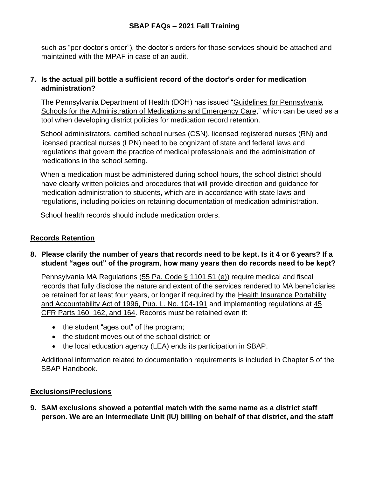such as "per doctor's order"), the doctor's orders for those services should be attached and maintained with the MPAF in case of an audit.

### **7. Is the actual pill bottle a sufficient record of the doctor's order for medication administration?**

The Pennsylvania Department of Health (DOH) has issued ["Guidelines for Pennsylvania](https://www.health.pa.gov/topics/Documents/School%20Health/Final%20Medication%20Manual.pdf)  [Schools for the Administration of Medications and Emergency Care,](https://www.health.pa.gov/topics/Documents/School%20Health/Final%20Medication%20Manual.pdf)" which can be used as a tool when developing district policies for medication record retention.

 School administrators, certified school nurses (CSN), licensed registered nurses (RN) and licensed practical nurses (LPN) need to be cognizant of state and federal laws and regulations that govern the practice of medical professionals and the administration of medications in the school setting.

 When a medication must be administered during school hours, the school district should have clearly written policies and procedures that will provide direction and guidance for medication administration to students, which are in accordance with state laws and regulations, including policies on retaining documentation of medication administration.

School health records should include medication orders.

### **Records Retention**

### **8. Please clarify the number of years that records need to be kept. Is it 4 or 6 years? If a student "ages out" of the program, how many years then do records need to be kept?**

Pennsylvania MA Regulations [\(55 Pa. Code § 1101.51 \(e\)\)](http://www.pacodeandbulletin.gov/Display/pacode?file=/secure/pacode/data/055/chapter1101/s1101.51.html&d=reduce) require medical and fiscal records that fully disclose the nature and extent of the services rendered to MA beneficiaries be retained for at least four years, or longer if required by the [Health Insurance Portability](https://www.ssa.gov/OP_Home/comp2/F104-191.html)  [and Accountability Act of 1996, Pub. L. No. 104-191](https://www.ssa.gov/OP_Home/comp2/F104-191.html) and implementing regulations at [45](https://www.ecfr.gov/current/title-45/subtitle-A/subchapter-C/part-160?toc=1)  [CFR Parts 160, 162, and 164.](https://www.ecfr.gov/current/title-45/subtitle-A/subchapter-C/part-160?toc=1) Records must be retained even if:

- the student "ages out" of the program;
- the student moves out of the school district; or
- the local education agency (LEA) ends its participation in SBAP.

Additional information related to documentation requirements is included in Chapter 5 of the SBAP Handbook.

### **Exclusions/Preclusions**

**9. SAM exclusions showed a potential match with the same name as a district staff person. We are an Intermediate Unit (IU) billing on behalf of that district, and the staff**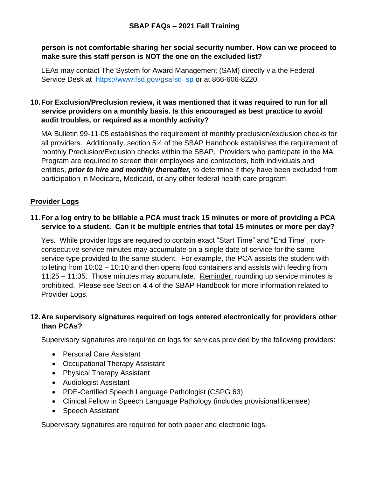#### **person is not comfortable sharing her social security number. How can we proceed to make sure this staff person is NOT the one on the excluded list?**

LEAs may contact The System for Award Management (SAM) directly via the Federal Service Desk at [https://www.fsd.gov/gsafsd\\_sp](https://www.fsd.gov/gsafsd_sp) or at 866-606-8220.

#### **10.For Exclusion/Preclusion review, it was mentioned that it was required to run for all service providers on a monthly basis. Is this encouraged as best practice to avoid audit troubles, or required as a monthly activity?**

MA Bulletin [99-11-05](https://www.dhs.pa.gov/docs/Publications/Documents/FORMS%20AND%20PUBS%20OMAP/d_005732.pdf) establishes the requirement of monthly preclusion/exclusion checks for all providers. Additionally, section 5.4 of the SBAP Handbook establishes the requirement of monthly Preclusion/Exclusion checks within the SBAP. Providers who participate in the MA Program are required to screen their employees and contractors, both individuals and entities, *prior to hire and monthly thereafter,* to determine if they have been excluded from participation in Medicare, Medicaid, or any other federal health care program.

### **Provider Logs**

# **11.For a log entry to be billable a PCA must track 15 minutes or more of providing a PCA service to a student. Can it be multiple entries that total 15 minutes or more per day?**

Yes. While provider logs are required to contain exact "Start Time" and "End Time", nonconsecutive service minutes may accumulate on a single date of service for the same service type provided to the same student. For example, the PCA assists the student with toileting from 10:02 – 10:10 and then opens food containers and assists with feeding from 11:25 – 11:35. Those minutes may accumulate. Reminder: rounding up service minutes is prohibited. Please see Section 4.4 of the SBAP Handbook for more information related to Provider Logs.

### **12.Are supervisory signatures required on logs entered electronically for providers other than PCAs?**

Supervisory signatures are required on logs for services provided by the following providers:

- Personal Care Assistant
- Occupational Therapy Assistant
- Physical Therapy Assistant
- Audiologist Assistant
- PDE-Certified Speech Language Pathologist (CSPG 63)
- Clinical Fellow in Speech Language Pathology (includes provisional licensee)
- Speech Assistant

Supervisory signatures are required for both paper and electronic logs.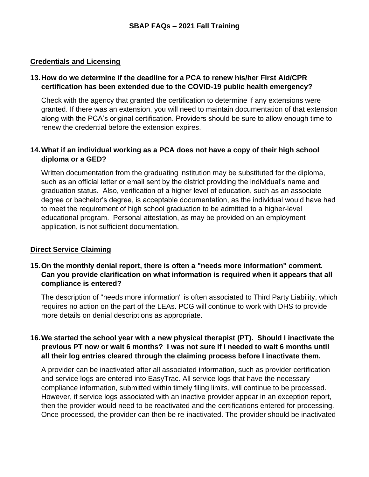### **Credentials and Licensing**

#### **13.How do we determine if the deadline for a PCA to renew his/her First Aid/CPR certification has been extended due to the COVID-19 public health emergency?**

Check with the agency that granted the certification to determine if any extensions were granted. If there was an extension, you will need to maintain documentation of that extension along with the PCA's original certification. Providers should be sure to allow enough time to renew the credential before the extension expires.

### **14.What if an individual working as a PCA does not have a copy of their high school diploma or a GED?**

Written documentation from the graduating institution may be substituted for the diploma, such as an official letter or email sent by the district providing the individual's name and graduation status. Also, verification of a higher level of education, such as an associate degree or bachelor's degree, is acceptable documentation, as the individual would have had to meet the requirement of high school graduation to be admitted to a higher-level educational program. Personal attestation, as may be provided on an employment application, is not sufficient documentation.

### **Direct Service Claiming**

#### **15.On the monthly denial report, there is often a "needs more information" comment. Can you provide clarification on what information is required when it appears that all compliance is entered?**

The description of "needs more information" is often associated to Third Party Liability, which requires no action on the part of the LEAs. PCG will continue to work with DHS to provide more details on denial descriptions as appropriate.

### **16.We started the school year with a new physical therapist (PT). Should I inactivate the previous PT now or wait 6 months? I was not sure if I needed to wait 6 months until all their log entries cleared through the claiming process before I inactivate them.**

A provider can be inactivated after all associated information, such as provider certification and service logs are entered into EasyTrac. All service logs that have the necessary compliance information, submitted within timely filing limits, will continue to be processed. However, if service logs associated with an inactive provider appear in an exception report, then the provider would need to be reactivated and the certifications entered for processing. Once processed, the provider can then be re-inactivated. The provider should be inactivated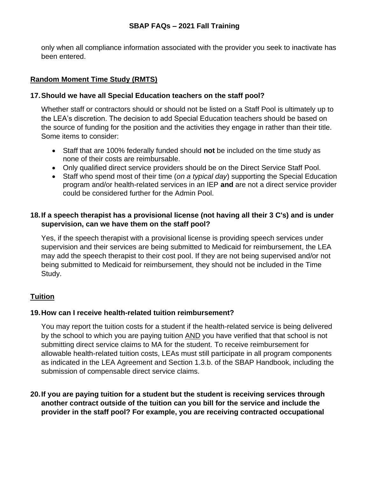only when all compliance information associated with the provider you seek to inactivate has been entered.

### **Random Moment Time Study (RMTS)**

### **17.Should we have all Special Education teachers on the staff pool?**

Whether staff or contractors should or should not be listed on a Staff Pool is ultimately up to the LEA's discretion. The decision to add Special Education teachers should be based on the source of funding for the position and the activities they engage in rather than their title. Some items to consider:

- Staff that are 100% federally funded should **not** be included on the time study as none of their costs are reimbursable.
- Only qualified direct service providers should be on the Direct Service Staff Pool.
- Staff who spend most of their time (*on a typical day*) supporting the Special Education program and/or health-related services in an IEP **and** are not a direct service provider could be considered further for the Admin Pool.

# **18.If a speech therapist has a provisional license (not having all their 3 C's) and is under supervision, can we have them on the staff pool?**

Yes, if the speech therapist with a provisional license is providing speech services under supervision and their services are being submitted to Medicaid for reimbursement, the LEA may add the speech therapist to their cost pool. If they are not being supervised and/or not being submitted to Medicaid for reimbursement, they should not be included in the Time Study.

### **Tuition**

### **19.How can I receive health-related tuition reimbursement?**

You may report the tuition costs for a student if the health-related service is being delivered by the school to which you are paying tuition AND you have verified that that school is not submitting direct service claims to MA for the student. To receive reimbursement for allowable health-related tuition costs, LEAs must still participate in all program components as indicated in the LEA Agreement and Section 1.3.b. of the SBAP Handbook, including the submission of compensable direct service claims.

**20.If you are paying tuition for a student but the student is receiving services through another contract outside of the tuition can you bill for the service and include the provider in the staff pool? For example, you are receiving contracted occupational**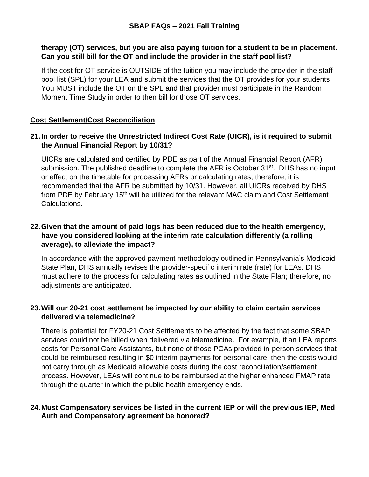### **therapy (OT) services, but you are also paying tuition for a student to be in placement. Can you still bill for the OT and include the provider in the staff pool list?**

If the cost for OT service is OUTSIDE of the tuition you may include the provider in the staff pool list (SPL) for your LEA and submit the services that the OT provides for your students. You MUST include the OT on the SPL and that provider must participate in the Random Moment Time Study in order to then bill for those OT services.

# **Cost Settlement/Cost Reconciliation**

# **21.In order to receive the Unrestricted Indirect Cost Rate (UICR), is it required to submit the Annual Financial Report by 10/31?**

UICRs are calculated and certified by PDE as part of the Annual Financial Report (AFR) submission. The published deadline to complete the AFR is October 31<sup>st</sup>. DHS has no input or effect on the timetable for processing AFRs or calculating rates; therefore, it is recommended that the AFR be submitted by 10/31. However, all UICRs received by DHS from PDE by February 15<sup>th</sup> will be utilized for the relevant MAC claim and Cost Settlement Calculations.

# **22.Given that the amount of paid logs has been reduced due to the health emergency, have you considered looking at the interim rate calculation differently (a rolling average), to alleviate the impact?**

In accordance with the approved payment methodology outlined in Pennsylvania's Medicaid State Plan, DHS annually revises the provider-specific interim rate (rate) for LEAs. DHS must adhere to the process for calculating rates as outlined in the State Plan; therefore, no adjustments are anticipated.

# **23.Will our 20-21 cost settlement be impacted by our ability to claim certain services delivered via telemedicine?**

There is potential for FY20-21 Cost Settlements to be affected by the fact that some SBAP services could not be billed when delivered via telemedicine. For example, if an LEA reports costs for Personal Care Assistants, but none of those PCAs provided in-person services that could be reimbursed resulting in \$0 interim payments for personal care, then the costs would not carry through as Medicaid allowable costs during the cost reconciliation/settlement process. However, LEAs will continue to be reimbursed at the higher enhanced FMAP rate through the quarter in which the public health emergency ends.

### **24.Must Compensatory services be listed in the current IEP or will the previous IEP, Med Auth and Compensatory agreement be honored?**